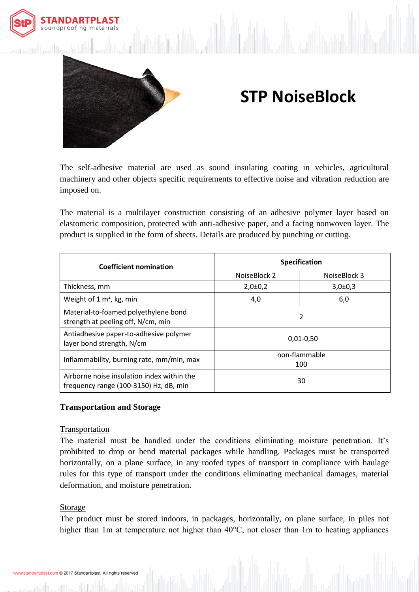



# **STP NoiseBlock**

The self-adhesive material are used as sound insulating coating in vehicles, agricultural machinery and other objects specific requirements to effective noise and vibration reduction are imposed on.

The material is a multilayer construction consisting of an adhesive polymer layer based on elastomeric composition, protected with anti-adhesive paper, and a facing nonwoven layer. The product is supplied in the form of sheets. Details are produced by punching or cutting.

| <b>Coefficient nomination</b>                                                        | <b>Specification</b> |               |
|--------------------------------------------------------------------------------------|----------------------|---------------|
|                                                                                      | NoiseBlock 2         | NoiseBlock 3  |
| Thickness, mm                                                                        | $2,0\pm0,2$          | $3,0{\pm}0,3$ |
| Weight of $1 \text{ m}^2$ , kg, min                                                  | 4,0                  | 6,0           |
| Material-to-foamed polyethylene bond<br>strength at peeling off, N/cm, min           | 2                    |               |
| Antiadhesive paper-to-adhesive polymer<br>layer bond strength, N/cm                  | $0,01-0,50$          |               |
| Inflammability, burning rate, mm/min, max                                            | non-flammable<br>100 |               |
| Airborne noise insulation index within the<br>frequency range (100-3150) Hz, dB, min | 30                   |               |

# **Transportation and Storage**

# Transportation

The material must be handled under the conditions eliminating moisture penetration. It's prohibited to drop or bend material packages while handling. Packages must be transported horizontally, on a plane surface, in any roofed types of transport in compliance with haulage rules for this type of transport under the conditions eliminating mechanical damages, material deformation, and moisture penetration.

# Storage

The product must be stored indoors, in packages, horizontally, on plane surface, in piles not higher than 1m at temperature not higher than 40°C, not closer than 1m to heating appliances